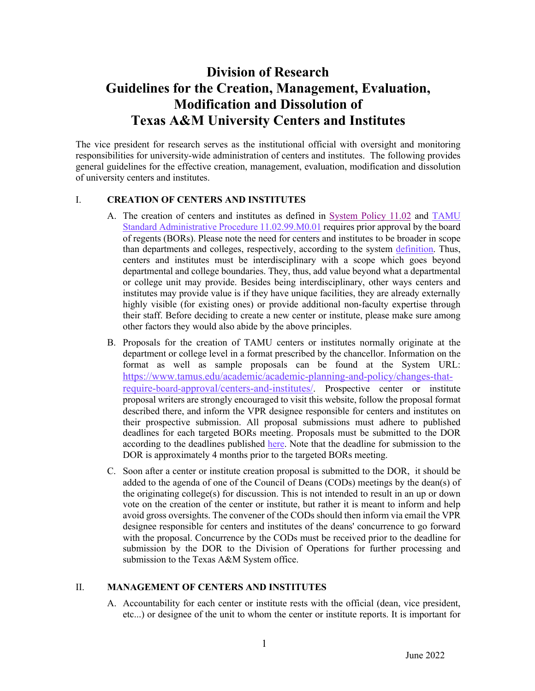# **Division of Research Guidelines for the Creation, Management, Evaluation, Modification and Dissolution of Texas A&M University Centers and Institutes**

The vice president for research serves as the institutional official with oversight and monitoring responsibilities for university-wide administration of centers and institutes. The following provides general guidelines for the effective creation, management, evaluation, modification and dissolution of university centers and institutes.

#### I. **CREATION OF CENTERS AND INSTITUTES**

- A. The creation of centers and institutes as defined in [System Policy 11.02](https://policies.tamus.edu/11-02.pdf) and [TAMU](https://rules-saps.tamu.edu/PDFs/11.02.99.M0.01.pdf)  [Standard Administrative Procedure 11.02.99.M0.01](https://rules-saps.tamu.edu/PDFs/11.02.99.M0.01.pdf) requires prior approval by the board of regents (BORs). Please note the need for centers and institutes to be broader in scope than departments and colleges, respectively, according to the system [definition.](https://assets.system.tamus.edu/files/policy/pdf/definitions/11-02-Definitions.pdf) Thus, centers and institutes must be interdisciplinary with a scope which goes beyond departmental and college boundaries. They, thus, add value beyond what a departmental or college unit may provide. Besides being interdisciplinary, other ways centers and institutes may provide value is if they have unique facilities, they are already externally highly visible (for existing ones) or provide additional non-faculty expertise through their staff. Before deciding to create a new center or institute, please make sure among other factors they would also abide by the above principles.
- B. Proposals for the creation of TAMU centers or institutes normally originate at the department or college level in a format prescribed by the chancellor. Information on the format as well as sample proposals can be found at the System URL: [https://www.tamus.edu/academic/academic-planning-and-policy/changes-tha](https://www.tamus.edu/academic/academic-planning-and-policy/changes-that-require-board-approval/centers-and-institutes/)t[require-board-approval/centers-and-institutes/. Prospective center or institute](https://www.tamus.edu/academic/academic-planning-and-policy/changes-that-require-board-approval/centers-and-institutes/)  proposal writers are strongly encouraged to visit this website, follow the proposal format described there, and inform the VPR designee responsible for centers and institutes on their prospective submission. All proposal submissions must adhere to published deadlines for each targeted BORs meeting. Proposals must be submitted to the DOR according to the deadlines published [here.](https://vpr.tamu.edu/wp-content/uploads/2022/05/2022-BOR-Deadline-Memo-v2-FINAL-2021Oct1.pdf) Note that the deadline for submission to the DOR is approximately 4 months prior to the targeted BORs meeting.
- C. Soon after a center or institute creation proposal is submitted to the DOR, it should be added to the agenda of one of the Council of Deans (CODs) meetings by the dean(s) of the originating college(s) for discussion. This is not intended to result in an up or down vote on the creation of the center or institute, but rather it is meant to inform and help avoid gross oversights. The convener of the CODs should then inform via email the VPR designee responsible for centers and institutes of the deans' concurrence to go forward with the proposal. Concurrence by the CODs must be received prior to the deadline for submission by the DOR to the Division of Operations for further processing and submission to the Texas A&M System office.

#### II. **MANAGEMENT OF CENTERS AND INSTITUTES**

A. Accountability for each center or institute rests with the official (dean, vice president, etc...) or designee of the unit to whom the center or institute reports. It is important for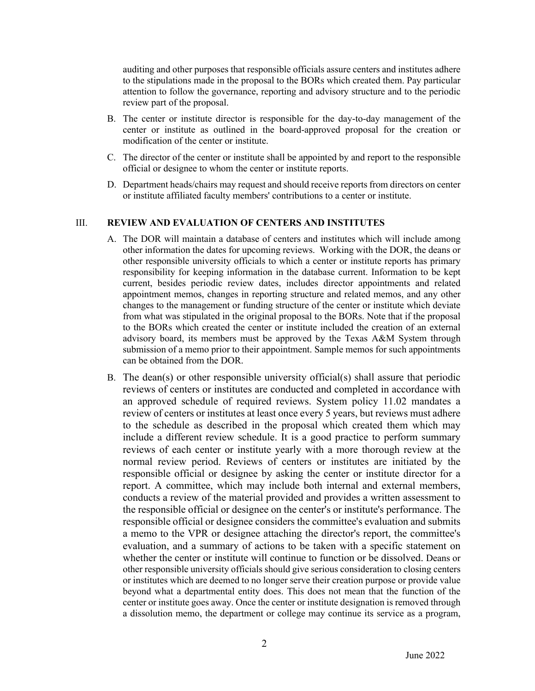auditing and other purposes that responsible officials assure centers and institutes adhere to the stipulations made in the proposal to the BORs which created them. Pay particular attention to follow the governance, reporting and advisory structure and to the periodic review part of the proposal.

- B. The center or institute director is responsible for the day-to-day management of the center or institute as outlined in the board-approved proposal for the creation or modification of the center or institute.
- C. The director of the center or institute shall be appointed by and report to the responsible official or designee to whom the center or institute reports.
- D. Department heads/chairs may request and should receive reports from directors on center or institute affiliated faculty members' contributions to a center or institute.

#### III. **REVIEW AND EVALUATION OF CENTERS AND INSTITUTES**

- A. The DOR will maintain a database of centers and institutes which will include among other information the dates for upcoming reviews. Working with the DOR, the deans or other responsible university officials to which a center or institute reports has primary responsibility for keeping information in the database current. Information to be kept current, besides periodic review dates, includes director appointments and related appointment memos, changes in reporting structure and related memos, and any other changes to the management or funding structure of the center or institute which deviate from what was stipulated in the original proposal to the BORs. Note that if the proposal to the BORs which created the center or institute included the creation of an external advisory board, its members must be approved by the Texas A&M System through submission of a memo prior to their appointment. Sample memos for such appointments can be obtained from the DOR.
- B. The dean(s) or other responsible university official(s) shall assure that periodic reviews of centers or institutes are conducted and completed in accordance with an approved schedule of required reviews. System policy 11.02 mandates a review of centers or institutes at least once every 5 years, but reviews must adhere to the schedule as described in the proposal which created them which may include a different review schedule. It is a good practice to perform summary reviews of each center or institute yearly with a more thorough review at the normal review period. Reviews of centers or institutes are initiated by the responsible official or designee by asking the center or institute director for a report. A committee, which may include both internal and external members, conducts a review of the material provided and provides a written assessment to the responsible official or designee on the center's or institute's performance. The responsible official or designee considers the committee's evaluation and submits a memo to the VPR or designee attaching the director's report, the committee's evaluation, and a summary of actions to be taken with a specific statement on whether the center or institute will continue to function or be dissolved. Deans or other responsible university officials should give serious consideration to closing centers or institutes which are deemed to no longer serve their creation purpose or provide value beyond what a departmental entity does. This does not mean that the function of the center or institute goes away. Once the center or institute designation is removed through a dissolution memo, the department or college may continue its service as a program,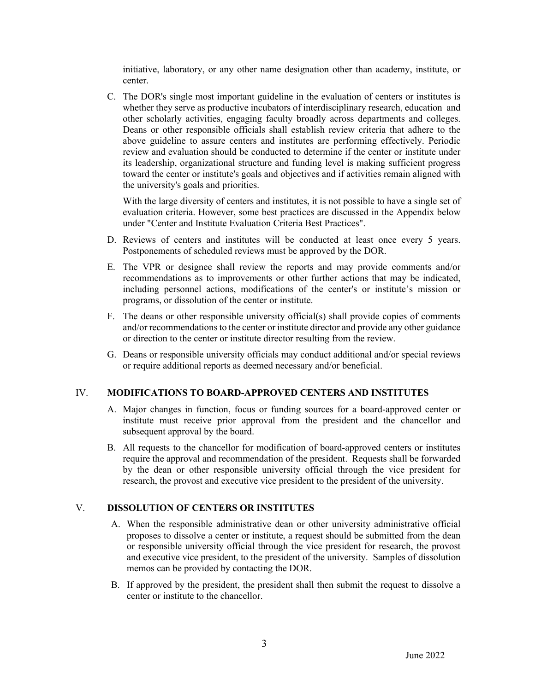initiative, laboratory, or any other name designation other than academy, institute, or center.

C. The DOR's single most important guideline in the evaluation of centers or institutes is whether they serve as productive incubators of interdisciplinary research, education and other scholarly activities, engaging faculty broadly across departments and colleges. Deans or other responsible officials shall establish review criteria that adhere to the above guideline to assure centers and institutes are performing effectively. Periodic review and evaluation should be conducted to determine if the center or institute under its leadership, organizational structure and funding level is making sufficient progress toward the center or institute's goals and objectives and if activities remain aligned with the university's goals and priorities.

With the large diversity of centers and institutes, it is not possible to have a single set of evaluation criteria. However, some best practices are discussed in the Appendix below under "Center and Institute Evaluation Criteria Best Practices".

- D. Reviews of centers and institutes will be conducted at least once every 5 years. Postponements of scheduled reviews must be approved by the DOR.
- E. The VPR or designee shall review the reports and may provide comments and/or recommendations as to improvements or other further actions that may be indicated, including personnel actions, modifications of the center's or institute's mission or programs, or dissolution of the center or institute.
- F. The deans or other responsible university official(s) shall provide copies of comments and/or recommendations to the center or institute director and provide any other guidance or direction to the center or institute director resulting from the review.
- G. Deans or responsible university officials may conduct additional and/or special reviews or require additional reports as deemed necessary and/or beneficial.

#### IV. **MODIFICATIONS TO BOARD-APPROVED CENTERS AND INSTITUTES**

- A. Major changes in function, focus or funding sources for a board-approved center or institute must receive prior approval from the president and the chancellor and subsequent approval by the board.
- B. All requests to the chancellor for modification of board-approved centers or institutes require the approval and recommendation of the president. Requests shall be forwarded by the dean or other responsible university official through the vice president for research, the provost and executive vice president to the president of the university.

#### V. **DISSOLUTION OF CENTERS OR INSTITUTES**

- A. When the responsible administrative dean or other university administrative official proposes to dissolve a center or institute, a request should be submitted from the dean or responsible university official through the vice president for research, the provost and executive vice president, to the president of the university. Samples of dissolution memos can be provided by contacting the DOR.
- B. If approved by the president, the president shall then submit the request to dissolve a center or institute to the chancellor.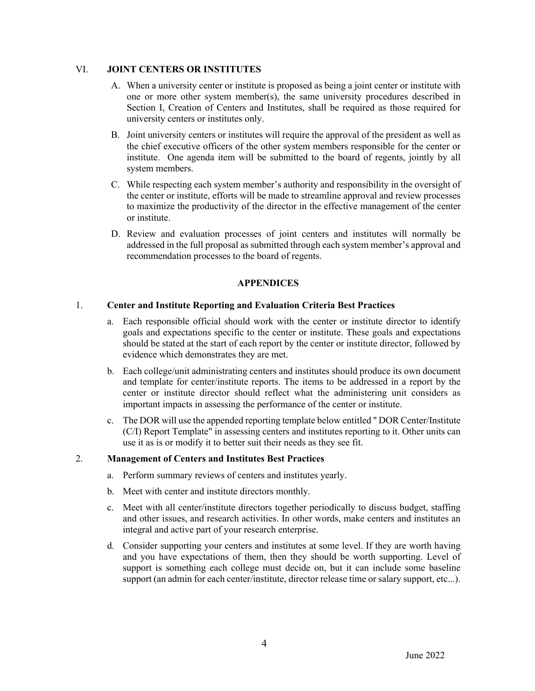### VI. **JOINT CENTERS OR INSTITUTES**

- A. When a university center or institute is proposed as being a joint center or institute with one or more other system member(s), the same university procedures described in Section I, Creation of Centers and Institutes, shall be required as those required for university centers or institutes only.
- B. Joint university centers or institutes will require the approval of the president as well as the chief executive officers of the other system members responsible for the center or institute. One agenda item will be submitted to the board of regents, jointly by all system members.
- C. While respecting each system member's authority and responsibility in the oversight of the center or institute, efforts will be made to streamline approval and review processes to maximize the productivity of the director in the effective management of the center or institute.
- D. Review and evaluation processes of joint centers and institutes will normally be addressed in the full proposal as submitted through each system member's approval and recommendation processes to the board of regents.

# **APPENDICES**

## 1. **Center and Institute Reporting and Evaluation Criteria Best Practices**

- a. Each responsible official should work with the center or institute director to identify goals and expectations specific to the center or institute. These goals and expectations should be stated at the start of each report by the center or institute director, followed by evidence which demonstrates they are met.
- b. Each college/unit administrating centers and institutes should produce its own document and template for center/institute reports. The items to be addressed in a report by the center or institute director should reflect what the administering unit considers as important impacts in assessing the performance of the center or institute.
- c. The DOR will use the appended reporting template below entitled " DOR Center/Institute (C/I) Report Template" in assessing centers and institutes reporting to it. Other units can use it as is or modify it to better suit their needs as they see fit.

#### 2. **Management of Centers and Institutes Best Practices**

- a. Perform summary reviews of centers and institutes yearly.
- b. Meet with center and institute directors monthly.
- c. Meet with all center/institute directors together periodically to discuss budget, staffing and other issues, and research activities. In other words, make centers and institutes an integral and active part of your research enterprise.
- d. Consider supporting your centers and institutes at some level. If they are worth having and you have expectations of them, then they should be worth supporting. Level of support is something each college must decide on, but it can include some baseline support (an admin for each center/institute, director release time or salary support, etc...).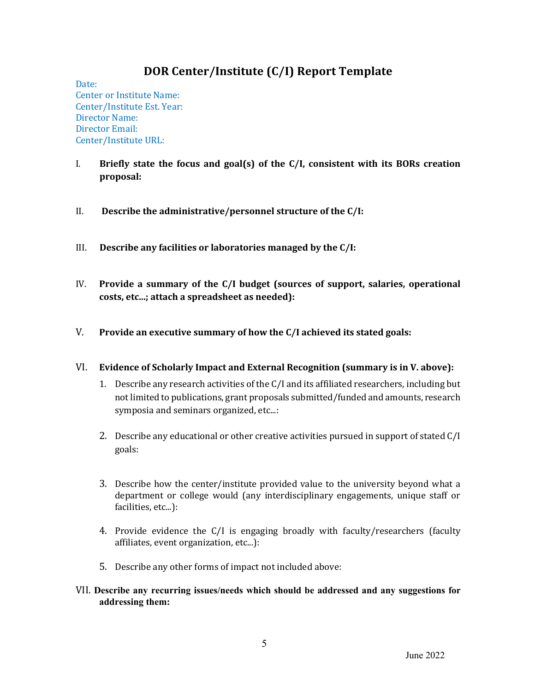# **DOR Center/Institute (C/I) Report Template**

Date: Center or Institute Name: Center/Institute Est. Year: Director Name: Director Email: Center/Institute URL:

- I. Briefly state the focus and goal(s) of the C/I, consistent with its BORs creation **proposal:**
- II. Describe the administrative/personnel structure of the C/I:
- III. Describe any facilities or laboratories managed by the C/I:
- IV. Provide a summary of the C/I budget (sources of support, salaries, operational costs, etc...; attach a spreadsheet as needed):
- V. Provide an executive summary of how the C/I achieved its stated goals:
- VI. Evidence of Scholarly Impact and External Recognition (summary is in V. above):
	- 1. Describe any research activities of the  $C/I$  and its affiliated researchers, including but not limited to publications, grant proposals submitted/funded and amounts, research symposia and seminars organized, etc...:
	- 2. Describe any educational or other creative activities pursued in support of stated  $C/I$ goals:
	- 3. Describe how the center/institute provided value to the university beyond what a department or college would (any interdisciplinary engagements, unique staff or facilities, etc...):
	- 4. Provide evidence the C/I is engaging broadly with faculty/researchers (faculty affiliates, event organization, etc...):
	- 5. Describe any other forms of impact not included above:
- VII. **Describe any recurring issues/needs which should be addressed and any suggestions for addressing them:**